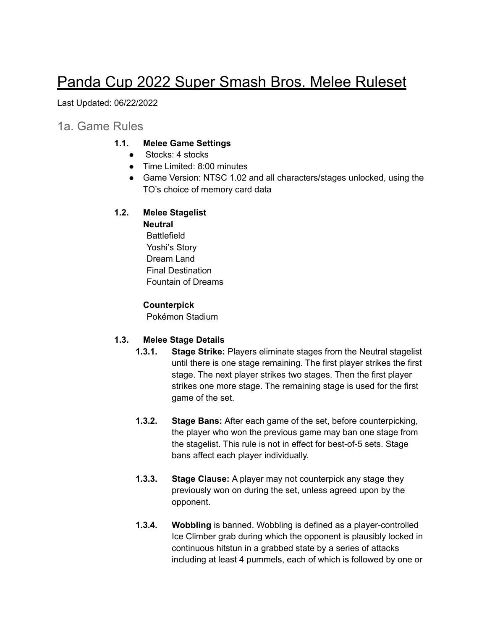# Panda Cup 2022 Super Smash Bros. Melee Ruleset

Last Updated: 06/22/2022

## 1a. Game Rules

#### **1.1. Melee Game Settings**

- **●** Stocks: 4 stocks
- Time Limited: 8:00 minutes
- Game Version: NTSC 1.02 and all characters/stages unlocked, using the TO's choice of memory card data

### **1.2. Melee Stagelist**

## **Neutral Battlefield**

Yoshi's Story Dream Land Final Destination Fountain of Dreams

#### **Counterpick**

Pokémon Stadium

### **1.3. Melee Stage Details**

- **1.3.1. Stage Strike:** Players eliminate stages from the Neutral stagelist until there is one stage remaining. The first player strikes the first stage. The next player strikes two stages. Then the first player strikes one more stage. The remaining stage is used for the first game of the set.
- **1.3.2. Stage Bans:** After each game of the set, before counterpicking, the player who won the previous game may ban one stage from the stagelist. This rule is not in effect for best-of-5 sets. Stage bans affect each player individually.
- **1.3.3. Stage Clause:** A player may not counterpick any stage they previously won on during the set, unless agreed upon by the opponent.
- **1.3.4. Wobbling** is banned. Wobbling is defined as a player-controlled Ice Climber grab during which the opponent is plausibly locked in continuous hitstun in a grabbed state by a series of attacks including at least 4 pummels, each of which is followed by one or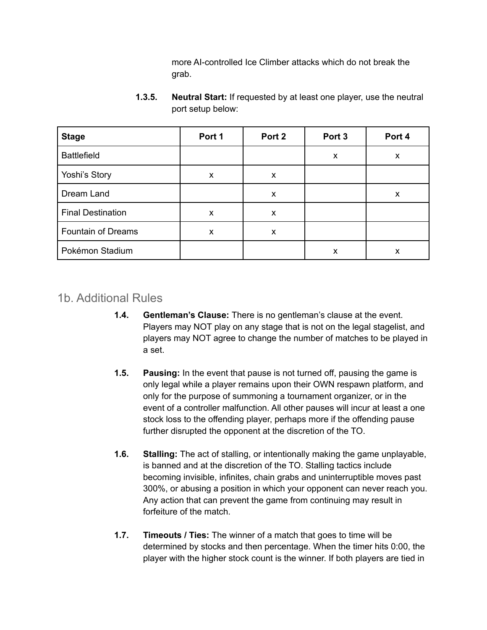more AI-controlled Ice Climber attacks which do not break the grab.

| <b>Stage</b>              | Port 1 | Port 2 | Port <sub>3</sub> | Port 4 |
|---------------------------|--------|--------|-------------------|--------|
| <b>Battlefield</b>        |        |        | X                 | X      |
| Yoshi's Story             | X      | X      |                   |        |
| Dream Land                |        | X      |                   | X      |
| <b>Final Destination</b>  | X      | X      |                   |        |
| <b>Fountain of Dreams</b> | X      | X      |                   |        |
| Pokémon Stadium           |        |        | х                 | x      |

**1.3.5. Neutral Start:** If requested by at least one player, use the neutral port setup below:

# 1b. Additional Rules

- **1.4. Gentleman's Clause:** There is no gentleman's clause at the event. Players may NOT play on any stage that is not on the legal stagelist, and players may NOT agree to change the number of matches to be played in a set.
- **1.5. Pausing:** In the event that pause is not turned off, pausing the game is only legal while a player remains upon their OWN respawn platform, and only for the purpose of summoning a tournament organizer, or in the event of a controller malfunction. All other pauses will incur at least a one stock loss to the offending player, perhaps more if the offending pause further disrupted the opponent at the discretion of the TO.
- **1.6. Stalling:** The act of stalling, or intentionally making the game unplayable, is banned and at the discretion of the TO. Stalling tactics include becoming invisible, infinites, chain grabs and uninterruptible moves past 300%, or abusing a position in which your opponent can never reach you. Any action that can prevent the game from continuing may result in forfeiture of the match.
- **1.7. Timeouts / Ties:** The winner of a match that goes to time will be determined by stocks and then percentage. When the timer hits 0:00, the player with the higher stock count is the winner. If both players are tied in